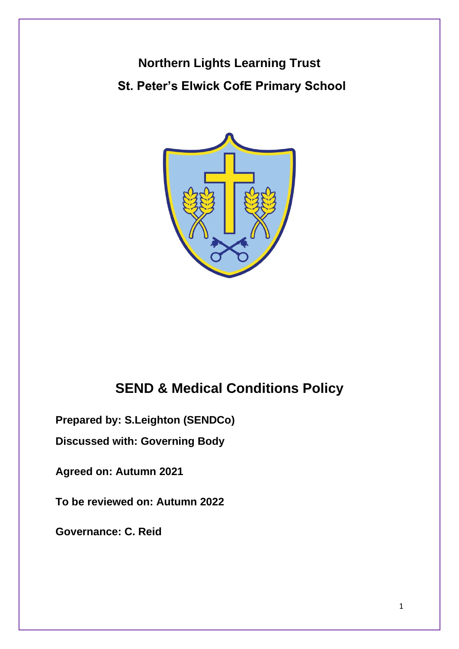# **Northern Lights Learning Trust St. Peter's Elwick CofE Primary School**



## **SEND & Medical Conditions Policy**

**Prepared by: S.Leighton (SENDCo)**

**Discussed with: Governing Body**

**Agreed on: Autumn 2021**

**To be reviewed on: Autumn 2022**

**Governance: C. Reid**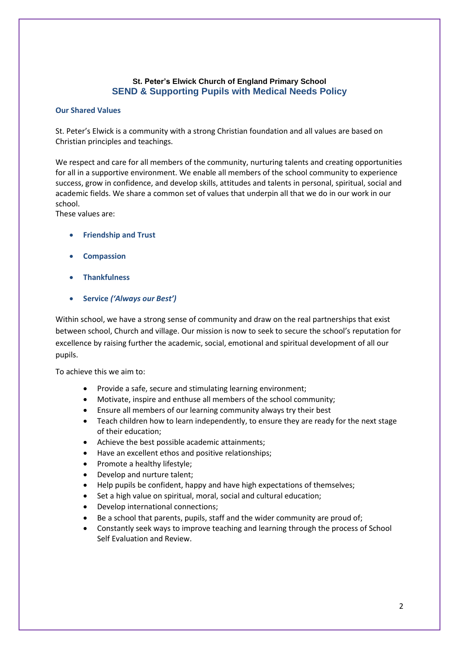## **St. Peter's Elwick Church of England Primary School SEND & Supporting Pupils with Medical Needs Policy**

## **Our Shared Values**

St. Peter's Elwick is a community with a strong Christian foundation and all values are based on Christian principles and teachings.

We respect and care for all members of the community, nurturing talents and creating opportunities for all in a supportive environment. We enable all members of the school community to experience success, grow in confidence, and develop skills, attitudes and talents in personal, spiritual, social and academic fields. We share a common set of values that underpin all that we do in our work in our school.

These values are:

- **Friendship and Trust**
- **Compassion**
- **Thankfulness**
- **Service** *('Always our Best')*

Within school, we have a strong sense of community and draw on the real partnerships that exist between school, Church and village. Our mission is now to seek to secure the school's reputation for excellence by raising further the academic, social, emotional and spiritual development of all our pupils.

To achieve this we aim to:

- Provide a safe, secure and stimulating learning environment;
- Motivate, inspire and enthuse all members of the school community;
- Ensure all members of our learning community always try their best
- Teach children how to learn independently, to ensure they are ready for the next stage of their education;
- Achieve the best possible academic attainments;
- Have an excellent ethos and positive relationships;
- Promote a healthy lifestyle;
- Develop and nurture talent;
- Help pupils be confident, happy and have high expectations of themselves;
- Set a high value on spiritual, moral, social and cultural education;
- Develop international connections;
- Be a school that parents, pupils, staff and the wider community are proud of;
- Constantly seek ways to improve teaching and learning through the process of School Self Evaluation and Review.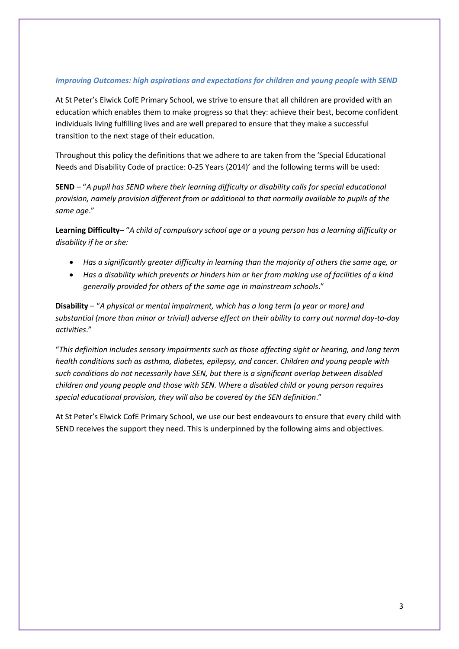## *Improving Outcomes: high aspirations and expectations for children and young people with SEND*

At St Peter's Elwick CofE Primary School, we strive to ensure that all children are provided with an education which enables them to make progress so that they: achieve their best, become confident individuals living fulfilling lives and are well prepared to ensure that they make a successful transition to the next stage of their education.

Throughout this policy the definitions that we adhere to are taken from the 'Special Educational Needs and Disability Code of practice: 0-25 Years (2014)' and the following terms will be used:

**SEND** – "*A pupil has SEND where their learning difficulty or disability calls for special educational provision, namely provision different from or additional to that normally available to pupils of the same age*."

**Learning Difficulty**– "*A child of compulsory school age or a young person has a learning difficulty or disability if he or she:*

- *Has a significantly greater difficulty in learning than the majority of others the same age, or*
- *Has a disability which prevents or hinders him or her from making use of facilities of a kind generally provided for others of the same age in mainstream schools*."

**Disability** – "*A physical or mental impairment, which has a long term (a year or more) and substantial (more than minor or trivial) adverse effect on their ability to carry out normal day-to-day activities*."

"*This definition includes sensory impairments such as those affecting sight or hearing, and long term health conditions such as asthma, diabetes, epilepsy, and cancer. Children and young people with such conditions do not necessarily have SEN, but there is a significant overlap between disabled children and young people and those with SEN. Where a disabled child or young person requires special educational provision, they will also be covered by the SEN definition*."

At St Peter's Elwick CofE Primary School, we use our best endeavours to ensure that every child with SEND receives the support they need. This is underpinned by the following aims and objectives.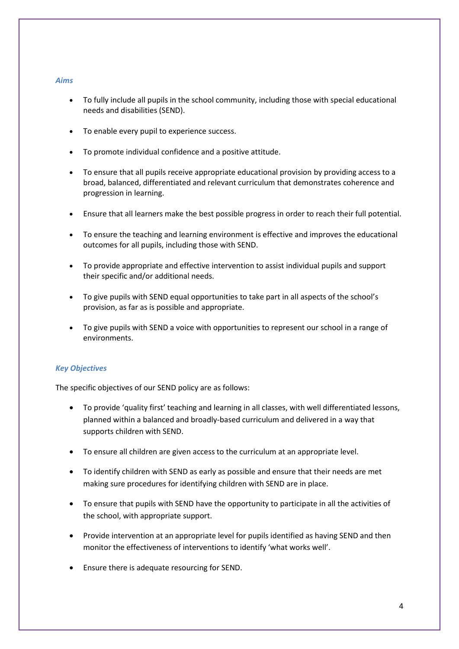## *Aims*

- To fully include all pupils in the school community, including those with special educational needs and disabilities (SEND).
- To enable every pupil to experience success.
- To promote individual confidence and a positive attitude.
- To ensure that all pupils receive appropriate educational provision by providing access to a broad, balanced, differentiated and relevant curriculum that demonstrates coherence and progression in learning.
- Ensure that all learners make the best possible progress in order to reach their full potential.
- To ensure the teaching and learning environment is effective and improves the educational outcomes for all pupils, including those with SEND.
- To provide appropriate and effective intervention to assist individual pupils and support their specific and/or additional needs.
- To give pupils with SEND equal opportunities to take part in all aspects of the school's provision, as far as is possible and appropriate.
- To give pupils with SEND a voice with opportunities to represent our school in a range of environments.

## *Key Objectives*

The specific objectives of our SEND policy are as follows:

- To provide 'quality first' teaching and learning in all classes, with well differentiated lessons, planned within a balanced and broadly-based curriculum and delivered in a way that supports children with SEND.
- To ensure all children are given access to the curriculum at an appropriate level.
- To identify children with SEND as early as possible and ensure that their needs are met making sure procedures for identifying children with SEND are in place.
- To ensure that pupils with SEND have the opportunity to participate in all the activities of the school, with appropriate support.
- Provide intervention at an appropriate level for pupils identified as having SEND and then monitor the effectiveness of interventions to identify 'what works well'.
- Ensure there is adequate resourcing for SEND.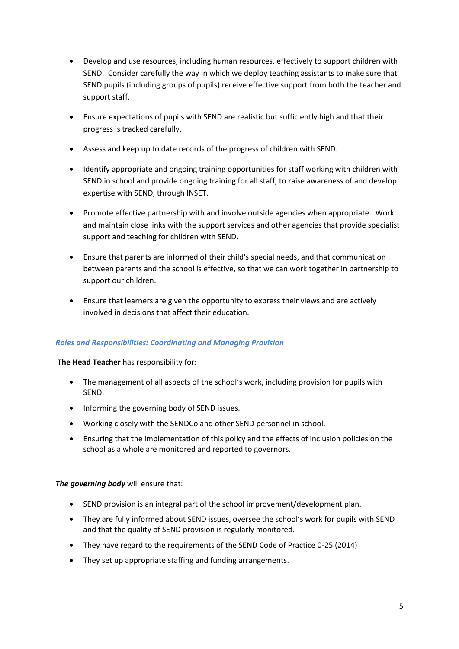- Develop and use resources, including human resources, effectively to support children with SEND. Consider carefully the way in which we deploy teaching assistants to make sure that SEND pupils (including groups of pupils) receive effective support from both the teacher and support staff.
- Ensure expectations of pupils with SEND are realistic but sufficiently high and that their progress is tracked carefully.
- Assess and keep up to date records of the progress of children with SEND.
- Identify appropriate and ongoing training opportunities for staff working with children with SEND in school and provide ongoing training for all staff, to raise awareness of and develop expertise with SEND, through INSET.
- Promote effective partnership with and involve outside agencies when appropriate. Work and maintain close links with the support services and other agencies that provide specialist support and teaching for children with SEND.
- Ensure that parents are informed of their child's special needs, and that communication between parents and the school is effective, so that we can work together in partnership to support our children.
- Ensure that learners are given the opportunity to express their views and are actively involved in decisions that affect their education.

## *Roles and Responsibilities: Coordinating and Managing Provision*

#### **The Head Teacher** has responsibility for:

- The management of all aspects of the school's work, including provision for pupils with SEND.
- Informing the governing body of SEND issues.
- Working closely with the SENDCo and other SEND personnel in school.
- Ensuring that the implementation of this policy and the effects of inclusion policies on the school as a whole are monitored and reported to governors.

#### *The governing body* will ensure that:

- SEND provision is an integral part of the school improvement/development plan.
- They are fully informed about SEND issues, oversee the school's work for pupils with SEND and that the quality of SEND provision is regularly monitored.
- They have regard to the requirements of the SEND Code of Practice 0-25 (2014)
- They set up appropriate staffing and funding arrangements.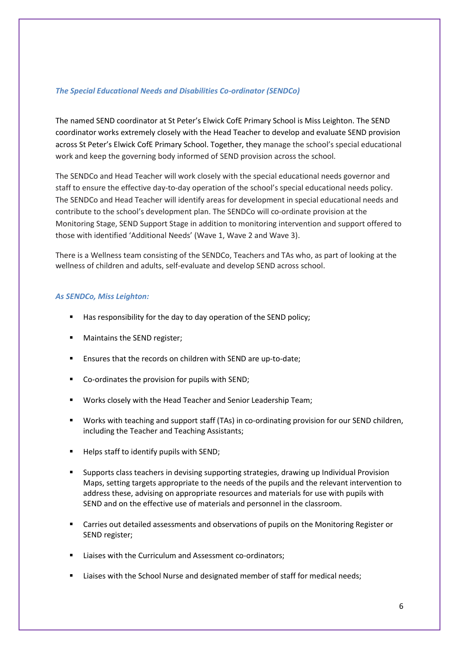## *The Special Educational Needs and Disabilities Co-ordinator (SENDCo)*

The named SEND coordinator at St Peter's Elwick CofE Primary School is Miss Leighton. The SEND coordinator works extremely closely with the Head Teacher to develop and evaluate SEND provision across St Peter's Elwick CofE Primary School. Together, they manage the school's special educational work and keep the governing body informed of SEND provision across the school.

The SENDCo and Head Teacher will work closely with the special educational needs governor and staff to ensure the effective day-to-day operation of the school's special educational needs policy. The SENDCo and Head Teacher will identify areas for development in special educational needs and contribute to the school's development plan. The SENDCo will co-ordinate provision at the Monitoring Stage, SEND Support Stage in addition to monitoring intervention and support offered to those with identified 'Additional Needs' (Wave 1, Wave 2 and Wave 3).

There is a Wellness team consisting of the SENDCo, Teachers and TAs who, as part of looking at the wellness of children and adults, self-evaluate and develop SEND across school.

## *As SENDCo, Miss Leighton:*

- Has responsibility for the day to day operation of the SEND policy;
- Maintains the SEND register;
- Ensures that the records on children with SEND are up-to-date;
- Co-ordinates the provision for pupils with SEND;
- Works closely with the Head Teacher and Senior Leadership Team;
- Works with teaching and support staff (TAs) in co-ordinating provision for our SEND children, including the Teacher and Teaching Assistants;
- Helps staff to identify pupils with SEND;
- Supports class teachers in devising supporting strategies, drawing up Individual Provision Maps, setting targets appropriate to the needs of the pupils and the relevant intervention to address these, advising on appropriate resources and materials for use with pupils with SEND and on the effective use of materials and personnel in the classroom.
- Carries out detailed assessments and observations of pupils on the Monitoring Register or SEND register;
- Liaises with the Curriculum and Assessment co-ordinators;
- Liaises with the School Nurse and designated member of staff for medical needs;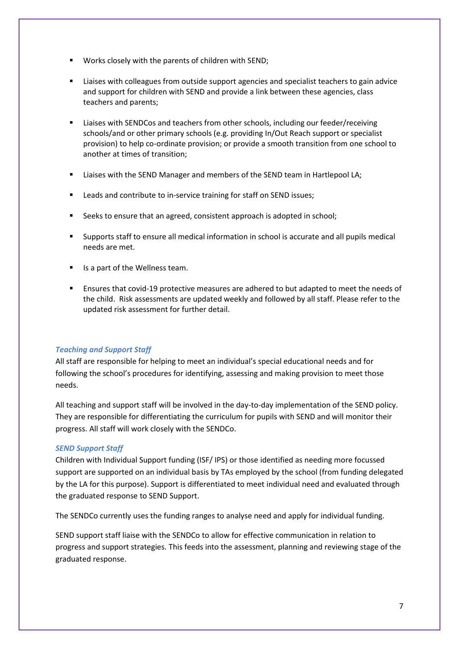- Works closely with the parents of children with SEND;
- Liaises with colleagues from outside support agencies and specialist teachers to gain advice and support for children with SEND and provide a link between these agencies, class teachers and parents;
- Liaises with SENDCos and teachers from other schools, including our feeder/receiving schools/and or other primary schools (e.g. providing In/Out Reach support or specialist provision) to help co-ordinate provision; or provide a smooth transition from one school to another at times of transition;
- Liaises with the SEND Manager and members of the SEND team in Hartlepool LA;
- Leads and contribute to in-service training for staff on SEND issues;
- Seeks to ensure that an agreed, consistent approach is adopted in school;
- Supports staff to ensure all medical information in school is accurate and all pupils medical needs are met.
- Is a part of the Wellness team.
- Ensures that covid-19 protective measures are adhered to but adapted to meet the needs of the child. Risk assessments are updated weekly and followed by all staff. Please refer to the updated risk assessment for further detail.

## *Teaching and Support Staff*

All staff are responsible for helping to meet an individual's special educational needs and for following the school's procedures for identifying, assessing and making provision to meet those needs.

All teaching and support staff will be involved in the day-to-day implementation of the SEND policy. They are responsible for differentiating the curriculum for pupils with SEND and will monitor their progress. All staff will work closely with the SENDCo.

## *SEND Support Staff*

Children with Individual Support funding (ISF/ IPS) or those identified as needing more focussed support are supported on an individual basis by TAs employed by the school (from funding delegated by the LA for this purpose). Support is differentiated to meet individual need and evaluated through the graduated response to SEND Support.

The SENDCo currently uses the funding ranges to analyse need and apply for individual funding.

SEND support staff liaise with the SENDCo to allow for effective communication in relation to progress and support strategies. This feeds into the assessment, planning and reviewing stage of the graduated response.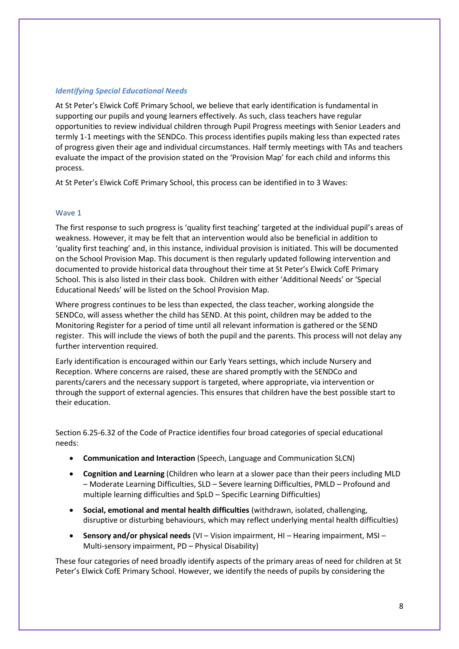## *Identifying Special Educational Needs*

At St Peter's Elwick CofE Primary School, we believe that early identification is fundamental in supporting our pupils and young learners effectively. As such, class teachers have regular opportunities to review individual children through Pupil Progress meetings with Senior Leaders and termly 1-1 meetings with the SENDCo. This process identifies pupils making less than expected rates of progress given their age and individual circumstances. Half termly meetings with TAs and teachers evaluate the impact of the provision stated on the 'Provision Map' for each child and informs this process.

At St Peter's Elwick CofE Primary School, this process can be identified in to 3 Waves:

#### Wave 1

The first response to such progress is 'quality first teaching' targeted at the individual pupil's areas of weakness. However, it may be felt that an intervention would also be beneficial in addition to 'quality first teaching' and, in this instance, individual provision is initiated. This will be documented on the School Provision Map. This document is then regularly updated following intervention and documented to provide historical data throughout their time at St Peter's Elwick CofE Primary School. This is also listed in their class book. Children with either 'Additional Needs' or 'Special Educational Needs' will be listed on the School Provision Map.

Where progress continues to be less than expected, the class teacher, working alongside the SENDCo, will assess whether the child has SEND. At this point, children may be added to the Monitoring Register for a period of time until all relevant information is gathered or the SEND register. This will include the views of both the pupil and the parents. This process will not delay any further intervention required.

Early identification is encouraged within our Early Years settings, which include Nursery and Reception. Where concerns are raised, these are shared promptly with the SENDCo and parents/carers and the necessary support is targeted, where appropriate, via intervention or through the support of external agencies. This ensures that children have the best possible start to their education.

Section 6.25-6.32 of the Code of Practice identifies four broad categories of special educational needs:

- **Communication and Interaction** (Speech, Language and Communication SLCN)
- **Cognition and Learning** (Children who learn at a slower pace than their peers including MLD – Moderate Learning Difficulties, SLD – Severe learning Difficulties, PMLD – Profound and multiple learning difficulties and SpLD – Specific Learning Difficulties)
- **Social, emotional and mental health difficulties** (withdrawn, isolated, challenging, disruptive or disturbing behaviours, which may reflect underlying mental health difficulties)
- **Sensory and/or physical needs** (VI Vision impairment, HI Hearing impairment, MSI Multi-sensory impairment, PD – Physical Disability)

These four categories of need broadly identify aspects of the primary areas of need for children at St Peter's Elwick CofE Primary School. However, we identify the needs of pupils by considering the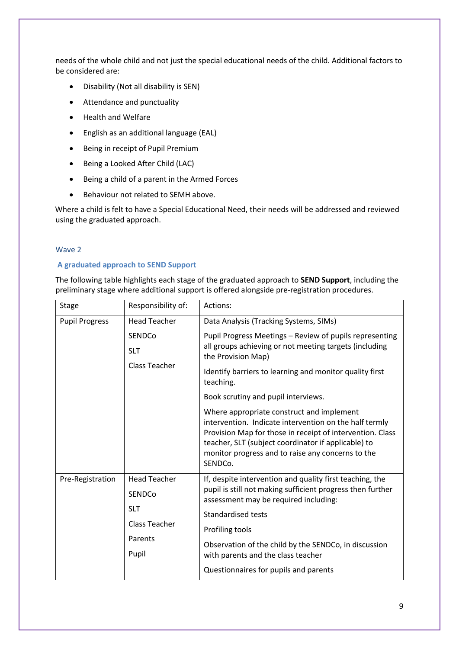needs of the whole child and not just the special educational needs of the child. Additional factors to be considered are:

- Disability (Not all disability is SEN)
- Attendance and punctuality
- Health and Welfare
- English as an additional language (EAL)
- Being in receipt of Pupil Premium
- Being a Looked After Child (LAC)
- Being a child of a parent in the Armed Forces
- Behaviour not related to SEMH above.

Where a child is felt to have a Special Educational Need, their needs will be addressed and reviewed using the graduated approach.

## Wave 2

## **A graduated approach to SEND Support**

The following table highlights each stage of the graduated approach to **SEND Support**, including the preliminary stage where additional support is offered alongside pre-registration procedures.

| <b>Stage</b>          | Responsibility of:   | Actions:                                                                                                                                                                                                                                                                                |
|-----------------------|----------------------|-----------------------------------------------------------------------------------------------------------------------------------------------------------------------------------------------------------------------------------------------------------------------------------------|
| <b>Pupil Progress</b> | <b>Head Teacher</b>  | Data Analysis (Tracking Systems, SIMs)                                                                                                                                                                                                                                                  |
|                       | SENDCo               | Pupil Progress Meetings - Review of pupils representing<br>all groups achieving or not meeting targets (including<br>the Provision Map)                                                                                                                                                 |
|                       | <b>SLT</b>           |                                                                                                                                                                                                                                                                                         |
|                       | Class Teacher        | Identify barriers to learning and monitor quality first<br>teaching.                                                                                                                                                                                                                    |
|                       |                      | Book scrutiny and pupil interviews.                                                                                                                                                                                                                                                     |
|                       |                      | Where appropriate construct and implement<br>intervention. Indicate intervention on the half termly<br>Provision Map for those in receipt of intervention. Class<br>teacher, SLT (subject coordinator if applicable) to<br>monitor progress and to raise any concerns to the<br>SENDCo. |
| Pre-Registration      | <b>Head Teacher</b>  | If, despite intervention and quality first teaching, the<br>pupil is still not making sufficient progress then further<br>assessment may be required including:<br><b>Standardised tests</b>                                                                                            |
|                       | SENDCo               |                                                                                                                                                                                                                                                                                         |
|                       | <b>SLT</b>           |                                                                                                                                                                                                                                                                                         |
|                       | <b>Class Teacher</b> | Profiling tools                                                                                                                                                                                                                                                                         |
|                       | Parents              | Observation of the child by the SENDCo, in discussion<br>with parents and the class teacher                                                                                                                                                                                             |
|                       | Pupil                |                                                                                                                                                                                                                                                                                         |
|                       |                      | Questionnaires for pupils and parents                                                                                                                                                                                                                                                   |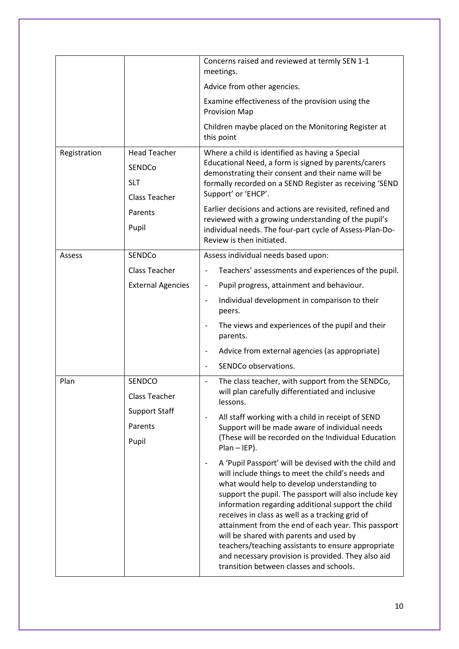|              |                                                                                         | Concerns raised and reviewed at termly SEN 1-1<br>meetings.                                                                                                                                                                                                                                                                                                                                                                                                                                                                 |
|--------------|-----------------------------------------------------------------------------------------|-----------------------------------------------------------------------------------------------------------------------------------------------------------------------------------------------------------------------------------------------------------------------------------------------------------------------------------------------------------------------------------------------------------------------------------------------------------------------------------------------------------------------------|
|              |                                                                                         | Advice from other agencies.                                                                                                                                                                                                                                                                                                                                                                                                                                                                                                 |
|              |                                                                                         | Examine effectiveness of the provision using the<br><b>Provision Map</b>                                                                                                                                                                                                                                                                                                                                                                                                                                                    |
|              |                                                                                         | Children maybe placed on the Monitoring Register at<br>this point                                                                                                                                                                                                                                                                                                                                                                                                                                                           |
| Registration | <b>Head Teacher</b><br>SENDCo<br><b>SLT</b><br><b>Class Teacher</b><br>Parents<br>Pupil | Where a child is identified as having a Special<br>Educational Need, a form is signed by parents/carers<br>demonstrating their consent and their name will be<br>formally recorded on a SEND Register as receiving 'SEND<br>Support' or 'EHCP'.<br>Earlier decisions and actions are revisited, refined and<br>reviewed with a growing understanding of the pupil's<br>individual needs. The four-part cycle of Assess-Plan-Do-<br>Review is then initiated.                                                                |
| Assess       | SENDCo                                                                                  | Assess individual needs based upon:                                                                                                                                                                                                                                                                                                                                                                                                                                                                                         |
|              | <b>Class Teacher</b>                                                                    | Teachers' assessments and experiences of the pupil.                                                                                                                                                                                                                                                                                                                                                                                                                                                                         |
|              | <b>External Agencies</b>                                                                | Pupil progress, attainment and behaviour.<br>$\qquad \qquad \blacksquare$                                                                                                                                                                                                                                                                                                                                                                                                                                                   |
|              |                                                                                         | Individual development in comparison to their<br>$\qquad \qquad \blacksquare$<br>peers.                                                                                                                                                                                                                                                                                                                                                                                                                                     |
|              |                                                                                         | The views and experiences of the pupil and their<br>$\qquad \qquad \blacksquare$<br>parents.                                                                                                                                                                                                                                                                                                                                                                                                                                |
|              |                                                                                         | Advice from external agencies (as appropriate)<br>$\overline{a}$                                                                                                                                                                                                                                                                                                                                                                                                                                                            |
|              |                                                                                         | SENDCo observations.                                                                                                                                                                                                                                                                                                                                                                                                                                                                                                        |
| Plan         | SENDCO<br>Class Teacher<br><b>Support Staff</b><br>Parents<br>Pupil                     | The class teacher, with support from the SENDCo,<br>$\frac{1}{2}$<br>will plan carefully differentiated and inclusive<br>lessons.<br>All staff working with a child in receipt of SEND<br>$\qquad \qquad \blacksquare$<br>Support will be made aware of individual needs<br>(These will be recorded on the Individual Education<br>$Plan - IEP$ ).<br>A 'Pupil Passport' will be devised with the child and<br>$\qquad \qquad \blacksquare$                                                                                 |
|              |                                                                                         | will include things to meet the child's needs and<br>what would help to develop understanding to<br>support the pupil. The passport will also include key<br>information regarding additional support the child<br>receives in class as well as a tracking grid of<br>attainment from the end of each year. This passport<br>will be shared with parents and used by<br>teachers/teaching assistants to ensure appropriate<br>and necessary provision is provided. They also aid<br>transition between classes and schools. |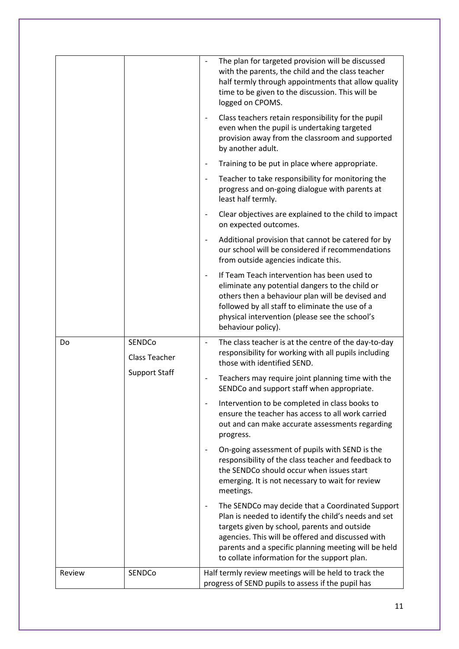|        |                                                        | The plan for targeted provision will be discussed<br>$\overline{a}$<br>with the parents, the child and the class teacher<br>half termly through appointments that allow quality<br>time to be given to the discussion. This will be<br>logged on CPOMS.                                                               |
|--------|--------------------------------------------------------|-----------------------------------------------------------------------------------------------------------------------------------------------------------------------------------------------------------------------------------------------------------------------------------------------------------------------|
|        |                                                        | Class teachers retain responsibility for the pupil<br>$\qquad \qquad \blacksquare$<br>even when the pupil is undertaking targeted<br>provision away from the classroom and supported<br>by another adult.                                                                                                             |
|        |                                                        | Training to be put in place where appropriate.<br>$\qquad \qquad \blacksquare$                                                                                                                                                                                                                                        |
|        |                                                        | Teacher to take responsibility for monitoring the<br>progress and on-going dialogue with parents at<br>least half termly.                                                                                                                                                                                             |
|        |                                                        | Clear objectives are explained to the child to impact<br>$\qquad \qquad \blacksquare$<br>on expected outcomes.                                                                                                                                                                                                        |
|        |                                                        | Additional provision that cannot be catered for by<br>$\qquad \qquad \blacksquare$<br>our school will be considered if recommendations<br>from outside agencies indicate this.                                                                                                                                        |
|        |                                                        | If Team Teach intervention has been used to<br>eliminate any potential dangers to the child or<br>others then a behaviour plan will be devised and<br>followed by all staff to eliminate the use of a<br>physical intervention (please see the school's<br>behaviour policy).                                         |
| Do     | SENDCo<br><b>Class Teacher</b><br><b>Support Staff</b> | The class teacher is at the centre of the day-to-day<br>$\overline{\phantom{a}}$<br>responsibility for working with all pupils including<br>those with identified SEND.                                                                                                                                               |
|        |                                                        | Teachers may require joint planning time with the<br>$\overline{\phantom{0}}$<br>SENDCo and support staff when appropriate.                                                                                                                                                                                           |
|        |                                                        | Intervention to be completed in class books to<br>ensure the teacher has access to all work carried<br>out and can make accurate assessments regarding<br>progress.                                                                                                                                                   |
|        |                                                        | On-going assessment of pupils with SEND is the<br>$\overline{\phantom{a}}$<br>responsibility of the class teacher and feedback to<br>the SENDCo should occur when issues start<br>emerging. It is not necessary to wait for review<br>meetings.                                                                       |
|        |                                                        | The SENDCo may decide that a Coordinated Support<br>Plan is needed to identify the child's needs and set<br>targets given by school, parents and outside<br>agencies. This will be offered and discussed with<br>parents and a specific planning meeting will be held<br>to collate information for the support plan. |
| Review | SENDCo                                                 | Half termly review meetings will be held to track the<br>progress of SEND pupils to assess if the pupil has                                                                                                                                                                                                           |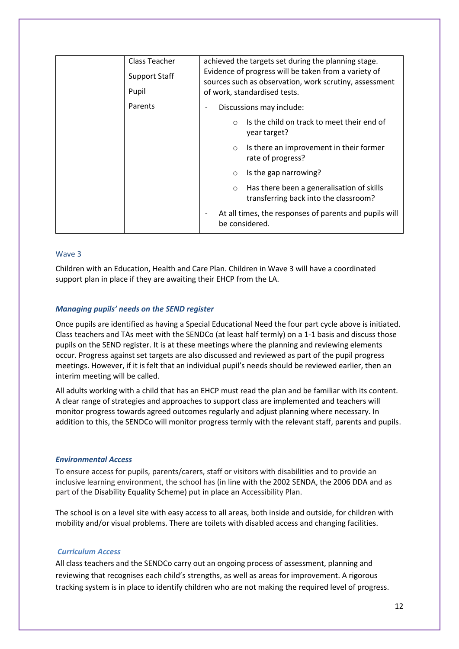| Class Teacher<br><b>Support Staff</b><br>Pupil | achieved the targets set during the planning stage.<br>Evidence of progress will be taken from a variety of<br>sources such as observation, work scrutiny, assessment<br>of work, standardised tests. |
|------------------------------------------------|-------------------------------------------------------------------------------------------------------------------------------------------------------------------------------------------------------|
| Parents                                        | Discussions may include:                                                                                                                                                                              |
|                                                | Is the child on track to meet their end of<br>$\circ$<br>year target?                                                                                                                                 |
|                                                | Is there an improvement in their former<br>$\circ$<br>rate of progress?                                                                                                                               |
|                                                | Is the gap narrowing?<br>$\circ$                                                                                                                                                                      |
|                                                | Has there been a generalisation of skills<br>$\circ$<br>transferring back into the classroom?                                                                                                         |
|                                                | At all times, the responses of parents and pupils will<br>be considered.                                                                                                                              |

#### Wave 3

Children with an Education, Health and Care Plan. Children in Wave 3 will have a coordinated support plan in place if they are awaiting their EHCP from the LA.

## *Managing pupils' needs on the SEND register*

Once pupils are identified as having a Special Educational Need the four part cycle above is initiated. Class teachers and TAs meet with the SENDCo (at least half termly) on a 1-1 basis and discuss those pupils on the SEND register. It is at these meetings where the planning and reviewing elements occur. Progress against set targets are also discussed and reviewed as part of the pupil progress meetings. However, if it is felt that an individual pupil's needs should be reviewed earlier, then an interim meeting will be called.

All adults working with a child that has an EHCP must read the plan and be familiar with its content. A clear range of strategies and approaches to support class are implemented and teachers will monitor progress towards agreed outcomes regularly and adjust planning where necessary. In addition to this, the SENDCo will monitor progress termly with the relevant staff, parents and pupils.

#### *Environmental Access*

To ensure access for pupils, parents/carers, staff or visitors with disabilities and to provide an inclusive learning environment, the school has (in line with the 2002 SENDA, the 2006 DDA and as part of the Disability Equality Scheme) put in place an Accessibility Plan.

The school is on a level site with easy access to all areas, both inside and outside, for children with mobility and/or visual problems. There are toilets with disabled access and changing facilities.

#### *Curriculum Access*

All class teachers and the SENDCo carry out an ongoing process of assessment, planning and reviewing that recognises each child's strengths, as well as areas for improvement. A rigorous tracking system is in place to identify children who are not making the required level of progress.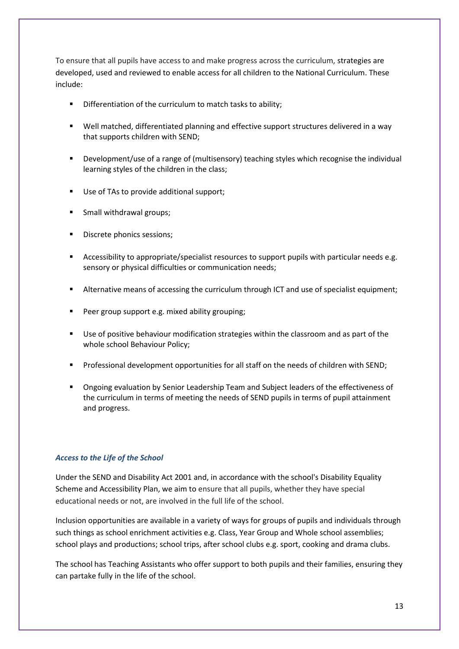To ensure that all pupils have access to and make progress across the curriculum, strategies are developed, used and reviewed to enable access for all children to the National Curriculum. These include:

- Differentiation of the curriculum to match tasks to ability;
- Well matched, differentiated planning and effective support structures delivered in a way that supports children with SEND;
- Development/use of a range of (multisensory) teaching styles which recognise the individual learning styles of the children in the class;
- Use of TAs to provide additional support;
- Small withdrawal groups;
- Discrete phonics sessions;
- Accessibility to appropriate/specialist resources to support pupils with particular needs e.g. sensory or physical difficulties or communication needs;
- Alternative means of accessing the curriculum through ICT and use of specialist equipment;
- Peer group support e.g. mixed ability grouping;
- Use of positive behaviour modification strategies within the classroom and as part of the whole school Behaviour Policy;
- Professional development opportunities for all staff on the needs of children with SEND;
- Ongoing evaluation by Senior Leadership Team and Subject leaders of the effectiveness of the curriculum in terms of meeting the needs of SEND pupils in terms of pupil attainment and progress.

#### *Access to the Life of the School*

Under the SEND and Disability Act 2001 and, in accordance with the school's Disability Equality Scheme and Accessibility Plan, we aim to ensure that all pupils, whether they have special educational needs or not, are involved in the full life of the school.

Inclusion opportunities are available in a variety of ways for groups of pupils and individuals through such things as school enrichment activities e.g. Class, Year Group and Whole school assemblies; school plays and productions; school trips, after school clubs e.g. sport, cooking and drama clubs.

The school has Teaching Assistants who offer support to both pupils and their families, ensuring they can partake fully in the life of the school.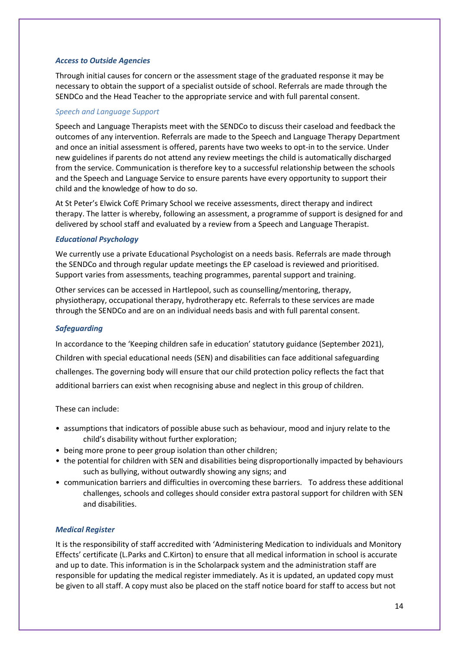## *Access to Outside Agencies*

Through initial causes for concern or the assessment stage of the graduated response it may be necessary to obtain the support of a specialist outside of school. Referrals are made through the SENDCo and the Head Teacher to the appropriate service and with full parental consent.

## *Speech and Language Support*

Speech and Language Therapists meet with the SENDCo to discuss their caseload and feedback the outcomes of any intervention. Referrals are made to the Speech and Language Therapy Department and once an initial assessment is offered, parents have two weeks to opt-in to the service. Under new guidelines if parents do not attend any review meetings the child is automatically discharged from the service. Communication is therefore key to a successful relationship between the schools and the Speech and Language Service to ensure parents have every opportunity to support their child and the knowledge of how to do so.

At St Peter's Elwick CofE Primary School we receive assessments, direct therapy and indirect therapy. The latter is whereby, following an assessment, a programme of support is designed for and delivered by school staff and evaluated by a review from a Speech and Language Therapist.

#### *Educational Psychology*

We currently use a private Educational Psychologist on a needs basis. Referrals are made through the SENDCo and through regular update meetings the EP caseload is reviewed and prioritised. Support varies from assessments, teaching programmes, parental support and training.

Other services can be accessed in Hartlepool, such as counselling/mentoring, therapy, physiotherapy, occupational therapy, hydrotherapy etc. Referrals to these services are made through the SENDCo and are on an individual needs basis and with full parental consent.

#### *Safeguarding*

In accordance to the 'Keeping children safe in education' statutory guidance (September 2021), Children with special educational needs (SEN) and disabilities can face additional safeguarding challenges. The governing body will ensure that our child protection policy reflects the fact that additional barriers can exist when recognising abuse and neglect in this group of children.

These can include:

- assumptions that indicators of possible abuse such as behaviour, mood and injury relate to the child's disability without further exploration;
- being more prone to peer group isolation than other children;
- the potential for children with SEN and disabilities being disproportionally impacted by behaviours such as bullying, without outwardly showing any signs; and
- communication barriers and difficulties in overcoming these barriers. To address these additional challenges, schools and colleges should consider extra pastoral support for children with SEN and disabilities.

#### *Medical Register*

It is the responsibility of staff accredited with 'Administering Medication to individuals and Monitory Effects' certificate (L.Parks and C.Kirton) to ensure that all medical information in school is accurate and up to date. This information is in the Scholarpack system and the administration staff are responsible for updating the medical register immediately. As it is updated, an updated copy must be given to all staff. A copy must also be placed on the staff notice board for staff to access but not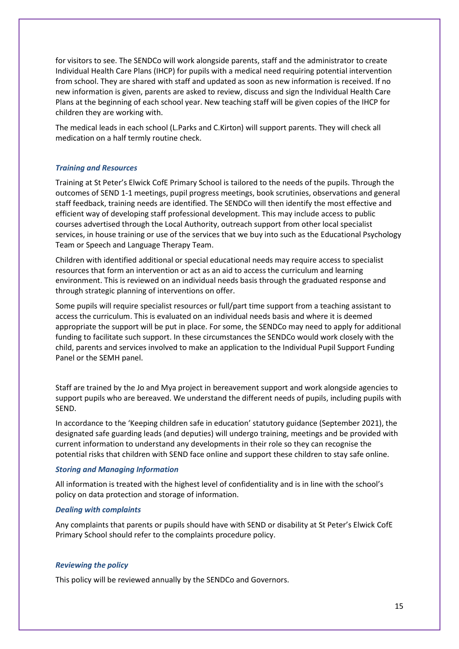for visitors to see. The SENDCo will work alongside parents, staff and the administrator to create Individual Health Care Plans (IHCP) for pupils with a medical need requiring potential intervention from school. They are shared with staff and updated as soon as new information is received. If no new information is given, parents are asked to review, discuss and sign the Individual Health Care Plans at the beginning of each school year. New teaching staff will be given copies of the IHCP for children they are working with.

The medical leads in each school (L.Parks and C.Kirton) will support parents. They will check all medication on a half termly routine check.

## *Training and Resources*

Training at St Peter's Elwick CofE Primary School is tailored to the needs of the pupils. Through the outcomes of SEND 1-1 meetings, pupil progress meetings, book scrutinies, observations and general staff feedback, training needs are identified. The SENDCo will then identify the most effective and efficient way of developing staff professional development. This may include access to public courses advertised through the Local Authority, outreach support from other local specialist services, in house training or use of the services that we buy into such as the Educational Psychology Team or Speech and Language Therapy Team.

Children with identified additional or special educational needs may require access to specialist resources that form an intervention or act as an aid to access the curriculum and learning environment. This is reviewed on an individual needs basis through the graduated response and through strategic planning of interventions on offer.

Some pupils will require specialist resources or full/part time support from a teaching assistant to access the curriculum. This is evaluated on an individual needs basis and where it is deemed appropriate the support will be put in place. For some, the SENDCo may need to apply for additional funding to facilitate such support. In these circumstances the SENDCo would work closely with the child, parents and services involved to make an application to the Individual Pupil Support Funding Panel or the SEMH panel.

Staff are trained by the Jo and Mya project in bereavement support and work alongside agencies to support pupils who are bereaved. We understand the different needs of pupils, including pupils with SEND.

In accordance to the 'Keeping children safe in education' statutory guidance (September 2021), the designated safe guarding leads (and deputies) will undergo training, meetings and be provided with current information to understand any developments in their role so they can recognise the potential risks that children with SEND face online and support these children to stay safe online.

#### *Storing and Managing Information*

All information is treated with the highest level of confidentiality and is in line with the school's policy on data protection and storage of information.

#### *Dealing with complaints*

Any complaints that parents or pupils should have with SEND or disability at St Peter's Elwick CofE Primary School should refer to the complaints procedure policy.

#### *Reviewing the policy*

This policy will be reviewed annually by the SENDCo and Governors.